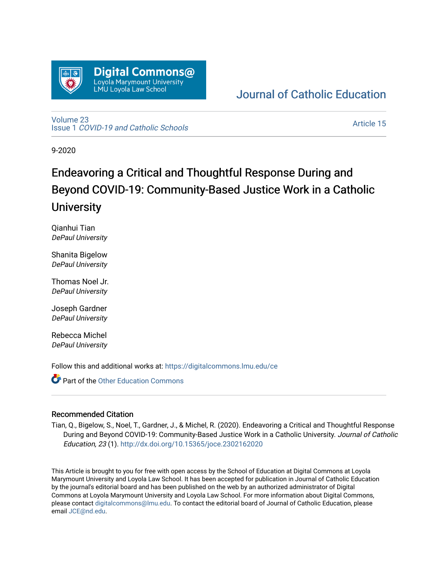

## [Journal of Catholic Education](https://digitalcommons.lmu.edu/ce)

[Volume 23](https://digitalcommons.lmu.edu/ce/vol23) Issue 1 [COVID-19 and Catholic Schools](https://digitalcommons.lmu.edu/ce/vol23/iss1) 

[Article 15](https://digitalcommons.lmu.edu/ce/vol23/iss1/15) 

9-2020

# Endeavoring a Critical and Thoughtful Response During and Beyond COVID-19: Community-Based Justice Work in a Catholic **University**

Qianhui Tian DePaul University

Shanita Bigelow DePaul University

Thomas Noel Jr. DePaul University

Joseph Gardner DePaul University

Rebecca Michel DePaul University

Follow this and additional works at: [https://digitalcommons.lmu.edu/ce](https://digitalcommons.lmu.edu/ce?utm_source=digitalcommons.lmu.edu%2Fce%2Fvol23%2Fiss1%2F15&utm_medium=PDF&utm_campaign=PDFCoverPages)

**Part of the Other Education Commons** 

#### Recommended Citation

Tian, Q., Bigelow, S., Noel, T., Gardner, J., & Michel, R. (2020). Endeavoring a Critical and Thoughtful Response During and Beyond COVID-19: Community-Based Justice Work in a Catholic University. Journal of Catholic Education, 23 (1). <http://dx.doi.org/10.15365/joce.2302162020>

This Article is brought to you for free with open access by the School of Education at Digital Commons at Loyola Marymount University and Loyola Law School. It has been accepted for publication in Journal of Catholic Education by the journal's editorial board and has been published on the web by an authorized administrator of Digital Commons at Loyola Marymount University and Loyola Law School. For more information about Digital Commons, please contact [digitalcommons@lmu.edu](mailto:digitalcommons@lmu.edu). To contact the editorial board of Journal of Catholic Education, please email [JCE@nd.edu](mailto:JCE@nd.edu).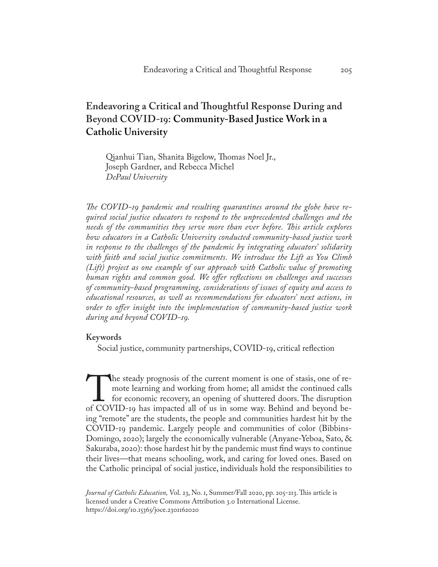### **Endeavoring a Critical and Thoughtful Response During and Beyond COVID-19: Community-Based Justice Work in a Catholic University**

Qianhui Tian, Shanita Bigelow, Thomas Noel Jr., Joseph Gardner, and Rebecca Michel *DePaul University*

*The COVID-19 pandemic and resulting quarantines around the globe have required social justice educators to respond to the unprecedented challenges and the needs of the communities they serve more than ever before. This article explores how educators in a Catholic University conducted community-based justice work in response to the challenges of the pandemic by integrating educators' solidarity with faith and social justice commitments. We introduce the Lift as You Climb (Lift) project as one example of our approach with Catholic value of promoting human rights and common good. We offer reflections on challenges and successes of community-based programming, considerations of issues of equity and access to educational resources, as well as recommendations for educators' next actions, in order to offer insight into the implementation of community-based justice work during and beyond COVID-19.*

#### **Keywords**

Social justice, community partnerships, COVID-19, critical reflection

The steady prognosis of the current moment is one of stasis, one of re-<br>mote learning and working from home; all amidst the continued calls<br>for economic recovery, an opening of shuttered doors. The disruption<br>of COVID-19 h mote learning and working from home; all amidst the continued calls for economic recovery, an opening of shuttered doors. The disruption ing "remote" are the students, the people and communities hardest hit by the COVID-19 pandemic. Largely people and communities of color (Bibbins-Domingo, 2020); largely the economically vulnerable (Anyane-Yeboa, Sato, & Sakuraba, 2020): those hardest hit by the pandemic must find ways to continue their lives—that means schooling, work, and caring for loved ones. Based on the Catholic principal of social justice, individuals hold the responsibilities to

*Journal of Catholic Education,* Vol. 23, No. 1, Summer/Fall 2020, pp. 205-213. This article is licensed under a Creative Commons Attribution 3.0 International License. https://doi.org/10.15365/joce.2301162020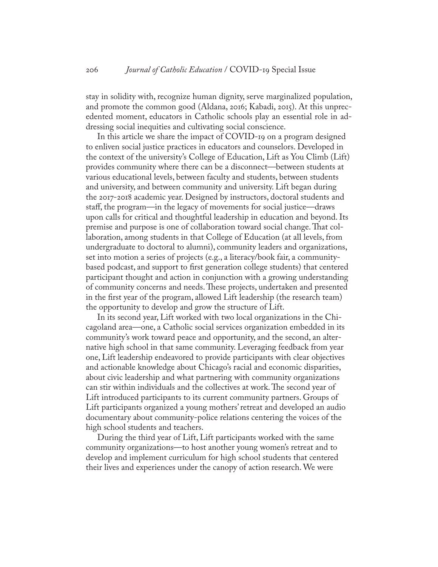stay in solidity with, recognize human dignity, serve marginalized population, and promote the common good (Aldana, 2016; Kabadi, 2015). At this unprecedented moment, educators in Catholic schools play an essential role in addressing social inequities and cultivating social conscience.

In this article we share the impact of COVID-19 on a program designed to enliven social justice practices in educators and counselors. Developed in the context of the university's College of Education, Lift as You Climb (Lift) provides community where there can be a disconnect—between students at various educational levels, between faculty and students, between students and university, and between community and university. Lift began during the 2017-2018 academic year. Designed by instructors, doctoral students and staff, the program—in the legacy of movements for social justice—draws upon calls for critical and thoughtful leadership in education and beyond. Its premise and purpose is one of collaboration toward social change. That collaboration, among students in that College of Education (at all levels, from undergraduate to doctoral to alumni), community leaders and organizations, set into motion a series of projects (e.g., a literacy/book fair, a communitybased podcast, and support to first generation college students) that centered participant thought and action in conjunction with a growing understanding of community concerns and needs. These projects, undertaken and presented in the first year of the program, allowed Lift leadership (the research team) the opportunity to develop and grow the structure of Lift.

In its second year, Lift worked with two local organizations in the Chicagoland area—one, a Catholic social services organization embedded in its community's work toward peace and opportunity, and the second, an alternative high school in that same community. Leveraging feedback from year one, Lift leadership endeavored to provide participants with clear objectives and actionable knowledge about Chicago's racial and economic disparities, about civic leadership and what partnering with community organizations can stir within individuals and the collectives at work. The second year of Lift introduced participants to its current community partners. Groups of Lift participants organized a young mothers' retreat and developed an audio documentary about community-police relations centering the voices of the high school students and teachers.

During the third year of Lift, Lift participants worked with the same community organizations—to host another young women's retreat and to develop and implement curriculum for high school students that centered their lives and experiences under the canopy of action research. We were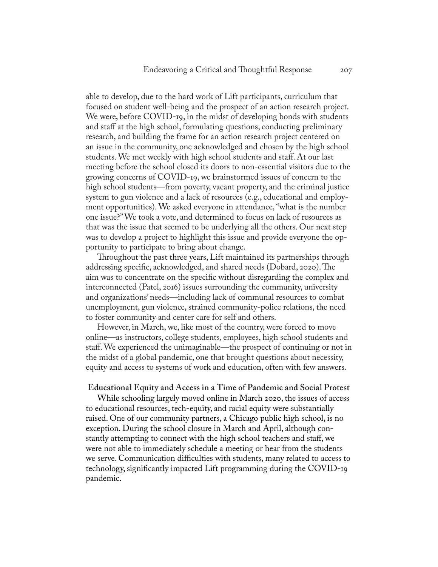able to develop, due to the hard work of Lift participants, curriculum that focused on student well-being and the prospect of an action research project. We were, before COVID-19, in the midst of developing bonds with students and staff at the high school, formulating questions, conducting preliminary research, and building the frame for an action research project centered on an issue in the community, one acknowledged and chosen by the high school students. We met weekly with high school students and staff. At our last meeting before the school closed its doors to non-essential visitors due to the growing concerns of COVID-19, we brainstormed issues of concern to the high school students—from poverty, vacant property, and the criminal justice system to gun violence and a lack of resources (e.g., educational and employment opportunities). We asked everyone in attendance, "what is the number one issue?" We took a vote, and determined to focus on lack of resources as that was the issue that seemed to be underlying all the others. Our next step was to develop a project to highlight this issue and provide everyone the opportunity to participate to bring about change.

Throughout the past three years, Lift maintained its partnerships through addressing specific, acknowledged, and shared needs (Dobard, 2020). The aim was to concentrate on the specific without disregarding the complex and interconnected (Patel, 2016) issues surrounding the community, university and organizations' needs—including lack of communal resources to combat unemployment, gun violence, strained community-police relations, the need to foster community and center care for self and others.

However, in March, we, like most of the country, were forced to move online—as instructors, college students, employees, high school students and staff. We experienced the unimaginable—the prospect of continuing or not in the midst of a global pandemic, one that brought questions about necessity, equity and access to systems of work and education, often with few answers.

#### **Educational Equity and Access in a Time of Pandemic and Social Protest**

While schooling largely moved online in March 2020, the issues of access to educational resources, tech-equity, and racial equity were substantially raised. One of our community partners, a Chicago public high school, is no exception. During the school closure in March and April, although constantly attempting to connect with the high school teachers and staff, we were not able to immediately schedule a meeting or hear from the students we serve. Communication difficulties with students, many related to access to technology, significantly impacted Lift programming during the COVID-19 pandemic.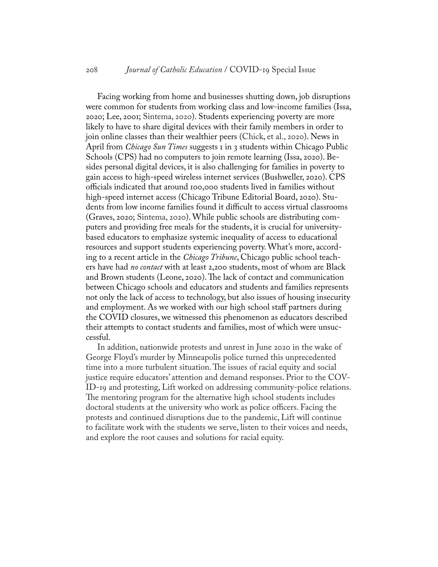Facing working from home and businesses shutting down, job disruptions were common for students from working class and low-income families (Issa, 2020; Lee, 2001; Sintema, 2020). Students experiencing poverty are more likely to have to share digital devices with their family members in order to join online classes than their wealthier peers (Chick, et al., 2020). News in April from *Chicago Sun Times* suggests 1 in 3 students within Chicago Public Schools (CPS) had no computers to join remote learning (Issa, 2020). Besides personal digital devices, it is also challenging for families in poverty to gain access to high-speed wireless internet services (Bushweller, 2020). CPS officials indicated that around 100,000 students lived in families without high-speed internet access (Chicago Tribune Editorial Board, 2020). Students from low income families found it difficult to access virtual classrooms (Graves, 2020; Sintema, 2020). While public schools are distributing computers and providing free meals for the students, it is crucial for universitybased educators to emphasize systemic inequality of access to educational resources and support students experiencing poverty. What's more, according to a recent article in the *Chicago Tribune*, Chicago public school teachers have had *no contact* with at least 2,200 students, most of whom are Black and Brown students (Leone, 2020). The lack of contact and communication between Chicago schools and educators and students and families represents not only the lack of access to technology, but also issues of housing insecurity and employment. As we worked with our high school staff partners during the COVID closures, we witnessed this phenomenon as educators described their attempts to contact students and families, most of which were unsuccessful.

In addition, nationwide protests and unrest in June 2020 in the wake of George Floyd's murder by Minneapolis police turned this unprecedented time into a more turbulent situation. The issues of racial equity and social justice require educators' attention and demand responses. Prior to the COV-ID-19 and protesting, Lift worked on addressing community-police relations. The mentoring program for the alternative high school students includes doctoral students at the university who work as police officers. Facing the protests and continued disruptions due to the pandemic, Lift will continue to facilitate work with the students we serve, listen to their voices and needs, and explore the root causes and solutions for racial equity.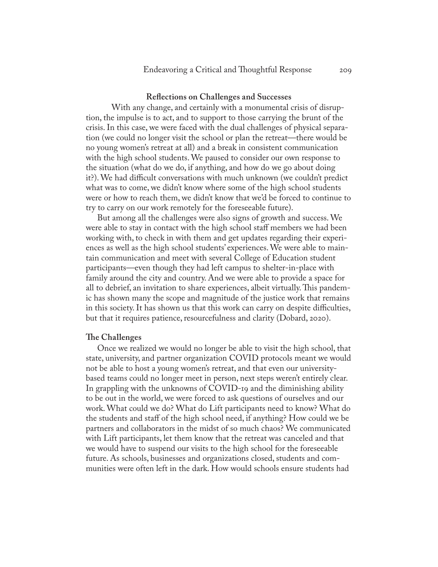#### **Reflections on Challenges and Successes**

With any change, and certainly with a monumental crisis of disruption, the impulse is to act, and to support to those carrying the brunt of the crisis. In this case, we were faced with the dual challenges of physical separation (we could no longer visit the school or plan the retreat—there would be no young women's retreat at all) and a break in consistent communication with the high school students. We paused to consider our own response to the situation (what do we do, if anything, and how do we go about doing it?). We had difficult conversations with much unknown (we couldn't predict what was to come, we didn't know where some of the high school students were or how to reach them, we didn't know that we'd be forced to continue to try to carry on our work remotely for the foreseeable future).

But among all the challenges were also signs of growth and success. We were able to stay in contact with the high school staff members we had been working with, to check in with them and get updates regarding their experiences as well as the high school students' experiences. We were able to maintain communication and meet with several College of Education student participants—even though they had left campus to shelter-in-place with family around the city and country. And we were able to provide a space for all to debrief, an invitation to share experiences, albeit virtually. This pandemic has shown many the scope and magnitude of the justice work that remains in this society. It has shown us that this work can carry on despite difficulties, but that it requires patience, resourcefulness and clarity (Dobard, 2020).

#### **The Challenges**

Once we realized we would no longer be able to visit the high school, that state, university, and partner organization COVID protocols meant we would not be able to host a young women's retreat, and that even our universitybased teams could no longer meet in person, next steps weren't entirely clear. In grappling with the unknowns of COVID-19 and the diminishing ability to be out in the world, we were forced to ask questions of ourselves and our work. What could we do? What do Lift participants need to know? What do the students and staff of the high school need, if anything? How could we be partners and collaborators in the midst of so much chaos? We communicated with Lift participants, let them know that the retreat was canceled and that we would have to suspend our visits to the high school for the foreseeable future. As schools, businesses and organizations closed, students and communities were often left in the dark. How would schools ensure students had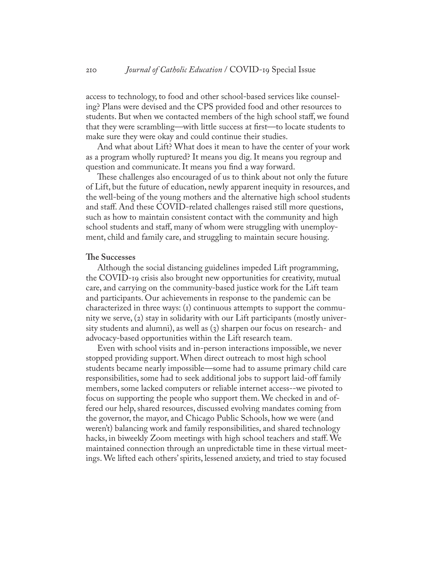access to technology, to food and other school-based services like counseling? Plans were devised and the CPS provided food and other resources to students. But when we contacted members of the high school staff, we found that they were scrambling—with little success at first—to locate students to make sure they were okay and could continue their studies.

And what about Lift? What does it mean to have the center of your work as a program wholly ruptured? It means you dig. It means you regroup and question and communicate. It means you find a way forward.

These challenges also encouraged of us to think about not only the future of Lift, but the future of education, newly apparent inequity in resources, and the well-being of the young mothers and the alternative high school students and staff. And these COVID-related challenges raised still more questions, such as how to maintain consistent contact with the community and high school students and staff, many of whom were struggling with unemployment, child and family care, and struggling to maintain secure housing.

#### **The Successes**

Although the social distancing guidelines impeded Lift programming, the COVID-19 crisis also brought new opportunities for creativity, mutual care, and carrying on the community-based justice work for the Lift team and participants. Our achievements in response to the pandemic can be characterized in three ways: (1) continuous attempts to support the community we serve, (2) stay in solidarity with our Lift participants (mostly university students and alumni), as well as (3) sharpen our focus on research- and advocacy-based opportunities within the Lift research team.

Even with school visits and in-person interactions impossible, we never stopped providing support. When direct outreach to most high school students became nearly impossible—some had to assume primary child care responsibilities, some had to seek additional jobs to support laid-off family members, some lacked computers or reliable internet access--we pivoted to focus on supporting the people who support them. We checked in and offered our help, shared resources, discussed evolving mandates coming from the governor, the mayor, and Chicago Public Schools, how we were (and weren't) balancing work and family responsibilities, and shared technology hacks, in biweekly Zoom meetings with high school teachers and staff. We maintained connection through an unpredictable time in these virtual meetings. We lifted each others' spirits, lessened anxiety, and tried to stay focused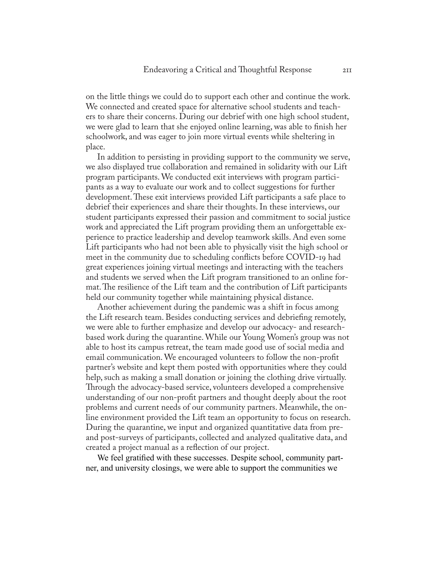on the little things we could do to support each other and continue the work. We connected and created space for alternative school students and teachers to share their concerns. During our debrief with one high school student, we were glad to learn that she enjoyed online learning, was able to finish her schoolwork, and was eager to join more virtual events while sheltering in place.

In addition to persisting in providing support to the community we serve, we also displayed true collaboration and remained in solidarity with our Lift program participants. We conducted exit interviews with program participants as a way to evaluate our work and to collect suggestions for further development. These exit interviews provided Lift participants a safe place to debrief their experiences and share their thoughts. In these interviews, our student participants expressed their passion and commitment to social justice work and appreciated the Lift program providing them an unforgettable experience to practice leadership and develop teamwork skills. And even some Lift participants who had not been able to physically visit the high school or meet in the community due to scheduling conflicts before COVID-19 had great experiences joining virtual meetings and interacting with the teachers and students we served when the Lift program transitioned to an online format. The resilience of the Lift team and the contribution of Lift participants held our community together while maintaining physical distance.

Another achievement during the pandemic was a shift in focus among the Lift research team. Besides conducting services and debriefing remotely, we were able to further emphasize and develop our advocacy- and researchbased work during the quarantine. While our Young Women's group was not able to host its campus retreat, the team made good use of social media and email communication. We encouraged volunteers to follow the non-profit partner's website and kept them posted with opportunities where they could help, such as making a small donation or joining the clothing drive virtually. Through the advocacy-based service, volunteers developed a comprehensive understanding of our non-profit partners and thought deeply about the root problems and current needs of our community partners. Meanwhile, the online environment provided the Lift team an opportunity to focus on research. During the quarantine, we input and organized quantitative data from preand post-surveys of participants, collected and analyzed qualitative data, and created a project manual as a reflection of our project.

We feel gratified with these successes. Despite school, community partner, and university closings, we were able to support the communities we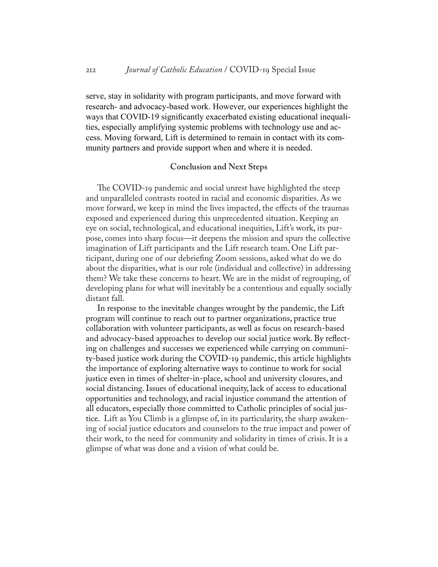serve, stay in solidarity with program participants, and move forward with research- and advocacy-based work. However, our experiences highlight the ways that COVID-19 significantly exacerbated existing educational inequalities, especially amplifying systemic problems with technology use and access. Moving forward, Lift is determined to remain in contact with its community partners and provide support when and where it is needed.

#### **Conclusion and Next Steps**

The COVID-19 pandemic and social unrest have highlighted the steep and unparalleled contrasts rooted in racial and economic disparities. As we move forward, we keep in mind the lives impacted, the effects of the traumas exposed and experienced during this unprecedented situation. Keeping an eye on social, technological, and educational inequities, Lift's work, its purpose, comes into sharp focus—it deepens the mission and spurs the collective imagination of Lift participants and the Lift research team. One Lift participant, during one of our debriefing Zoom sessions, asked what do we do about the disparities, what is our role (individual and collective) in addressing them? We take these concerns to heart. We are in the midst of regrouping, of developing plans for what will inevitably be a contentious and equally socially distant fall.

In response to the inevitable changes wrought by the pandemic, the Lift program will continue to reach out to partner organizations, practice true collaboration with volunteer participants, as well as focus on research-based and advocacy-based approaches to develop our social justice work. By reflecting on challenges and successes we experienced while carrying on community-based justice work during the COVID-19 pandemic, this article highlights the importance of exploring alternative ways to continue to work for social justice even in times of shelter-in-place, school and university closures, and social distancing. Issues of educational inequity, lack of access to educational opportunities and technology, and racial injustice command the attention of all educators, especially those committed to Catholic principles of social justice. Lift as You Climb is a glimpse of, in its particularity, the sharp awakening of social justice educators and counselors to the true impact and power of their work, to the need for community and solidarity in times of crisis. It is a glimpse of what was done and a vision of what could be.